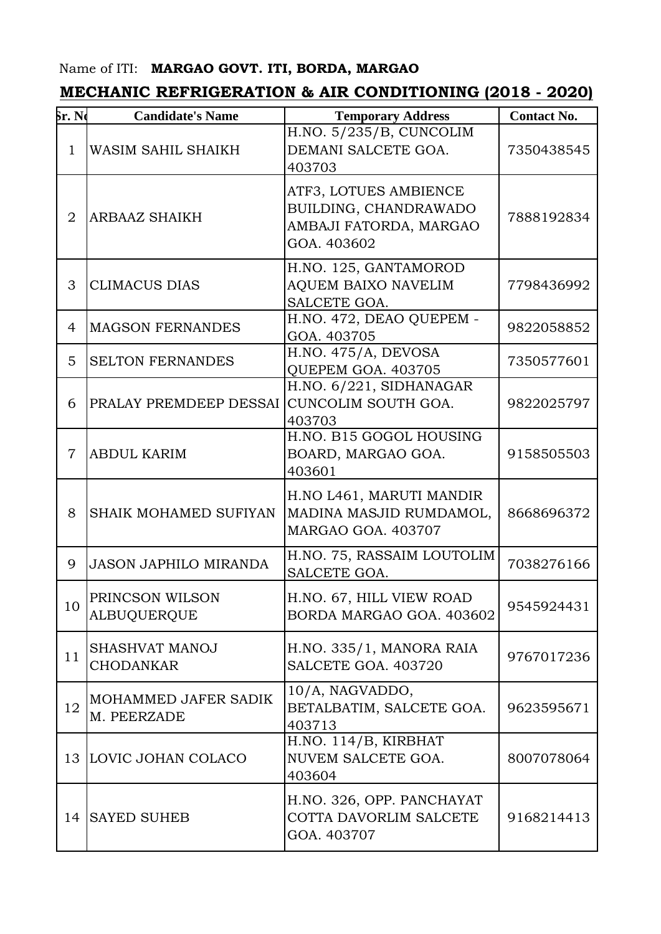## Name of ITI: **MARGAO GOVT. ITI, BORDA, MARGAO**

## **MECHANIC REFRIGERATION & AIR CONDITIONING (2018 - 2020)**

| <b>Sr. No</b>  | <b>Candidate's Name</b>               | <b>Temporary Address</b>                                                                | <b>Contact No.</b> |
|----------------|---------------------------------------|-----------------------------------------------------------------------------------------|--------------------|
| $\mathbf{1}$   | WASIM SAHIL SHAIKH                    | H.NO. 5/235/B, CUNCOLIM<br>DEMANI SALCETE GOA.<br>403703                                | 7350438545         |
| $\overline{2}$ | <b>ARBAAZ SHAIKH</b>                  | ATF3, LOTUES AMBIENCE<br>BUILDING, CHANDRAWADO<br>AMBAJI FATORDA, MARGAO<br>GOA. 403602 | 7888192834         |
| 3              | <b>CLIMACUS DIAS</b>                  | H.NO. 125, GANTAMOROD<br><b>AQUEM BAIXO NAVELIM</b><br>SALCETE GOA.                     | 7798436992         |
| 4              | <b>MAGSON FERNANDES</b>               | H.NO. 472, DEAO QUEPEM -<br>GOA. 403705                                                 | 9822058852         |
| 5              | <b>SELTON FERNANDES</b>               | H.NO. 475/A, DEVOSA<br>QUEPEM GOA. 403705                                               | 7350577601         |
| 6              | PRALAY PREMDEEP DESSAI                | H.NO. 6/221, SIDHANAGAR<br>CUNCOLIM SOUTH GOA.<br>403703                                | 9822025797         |
| $\overline{7}$ | <b>ABDUL KARIM</b>                    | H.NO. B15 GOGOL HOUSING<br>BOARD, MARGAO GOA.<br>403601                                 | 9158505503         |
| 8              | <b>SHAIK MOHAMED SUFIYAN</b>          | H.NO L461, MARUTI MANDIR<br>MADINA MASJID RUMDAMOL,<br>MARGAO GOA. 403707               | 8668696372         |
| 9              | <b>JASON JAPHILO MIRANDA</b>          | H.NO. 75, RASSAIM LOUTOLIM<br>SALCETE GOA.                                              | 7038276166         |
| 10             | PRINCSON WILSON<br><b>ALBUQUERQUE</b> | H.NO. 67, HILL VIEW ROAD<br>BORDA MARGAO GOA. 403602                                    | 9545924431         |
| 11             | SHASHVAT MANOJ<br><b>CHODANKAR</b>    | H.NO. 335/1, MANORA RAIA<br>SALCETE GOA. 403720                                         | 9767017236         |
| 12             | MOHAMMED JAFER SADIK<br>M. PEERZADE   | 10/A, NAGVADDO,<br>BETALBATIM, SALCETE GOA.<br>403713                                   | 9623595671         |
|                | 13 LOVIC JOHAN COLACO                 | H.NO. 114/B, KIRBHAT<br>NUVEM SALCETE GOA.<br>403604                                    | 8007078064         |
| 14             | <b>SAYED SUHEB</b>                    | H.NO. 326, OPP. PANCHAYAT<br>COTTA DAVORLIM SALCETE<br>GOA. 403707                      | 9168214413         |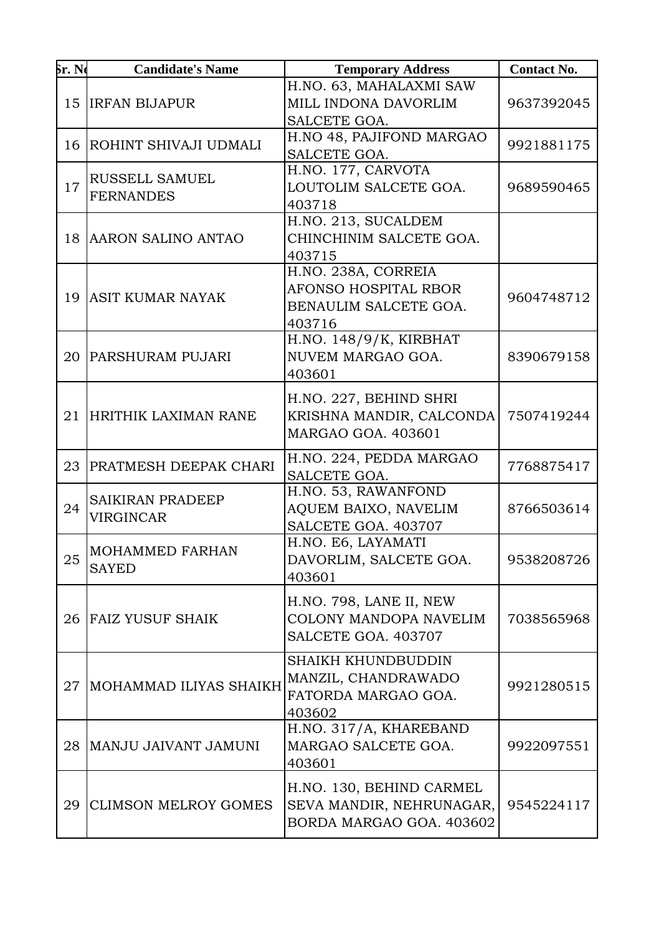| <b>Sr. Ne</b> | <b>Candidate's Name</b>                     | <b>Temporary Address</b>                                                          | <b>Contact No.</b> |
|---------------|---------------------------------------------|-----------------------------------------------------------------------------------|--------------------|
| 15            | <b>IRFAN BIJAPUR</b>                        | H.NO. 63, MAHALAXMI SAW<br>MILL INDONA DAVORLIM<br>SALCETE GOA.                   | 9637392045         |
|               | 16 ROHINT SHIVAJI UDMALI                    | H.NO 48, PAJIFOND MARGAO<br>SALCETE GOA.                                          | 9921881175         |
| 17            | RUSSELL SAMUEL<br><b>FERNANDES</b>          | H.NO. 177, CARVOTA<br>LOUTOLIM SALCETE GOA.<br>403718                             | 9689590465         |
| 18            | <b>AARON SALINO ANTAO</b>                   | H.NO. 213, SUCALDEM<br>CHINCHINIM SALCETE GOA.<br>403715                          |                    |
| 19            | <b>ASIT KUMAR NAYAK</b>                     | H.NO. 238A, CORREIA<br>AFONSO HOSPITAL RBOR<br>BENAULIM SALCETE GOA.<br>403716    | 9604748712         |
| 20            | <b>PARSHURAM PUJARI</b>                     | H.NO. 148/9/K, KIRBHAT<br>NUVEM MARGAO GOA.<br>403601                             | 8390679158         |
|               | 21 HRITHIK LAXIMAN RANE                     | H.NO. 227, BEHIND SHRI<br>KRISHNA MANDIR, CALCONDA<br>MARGAO GOA. 403601          | 7507419244         |
| 23            | <b>PRATMESH DEEPAK CHARI</b>                | H.NO. 224, PEDDA MARGAO<br>SALCETE GOA.                                           | 7768875417         |
| 24            | <b>SAIKIRAN PRADEEP</b><br><b>VIRGINCAR</b> | H.NO. 53, RAWANFOND<br>AQUEM BAIXO, NAVELIM<br>SALCETE GOA. 403707                | 8766503614         |
| 25            | MOHAMMED FARHAN<br><b>SAYED</b>             | H.NO. E6, LAYAMATI<br>DAVORLIM, SALCETE GOA.<br>403601                            | 9538208726         |
| 26            | <b>FAIZ YUSUF SHAIK</b>                     | H.NO. 798, LANE II, NEW<br>COLONY MANDOPA NAVELIM<br>SALCETE GOA. 403707          | 7038565968         |
| 27            | MOHAMMAD ILIYAS SHAIKH                      | <b>SHAIKH KHUNDBUDDIN</b><br>MANZIL, CHANDRAWADO<br>FATORDA MARGAO GOA.<br>403602 | 9921280515         |
| 28            | MANJU JAIVANT JAMUNI                        | H.NO. 317/A, KHAREBAND<br>MARGAO SALCETE GOA.<br>403601                           | 9922097551         |
| 29            | <b>CLIMSON MELROY GOMES</b>                 | H.NO. 130, BEHIND CARMEL<br>SEVA MANDIR, NEHRUNAGAR,<br>BORDA MARGAO GOA. 403602  | 9545224117         |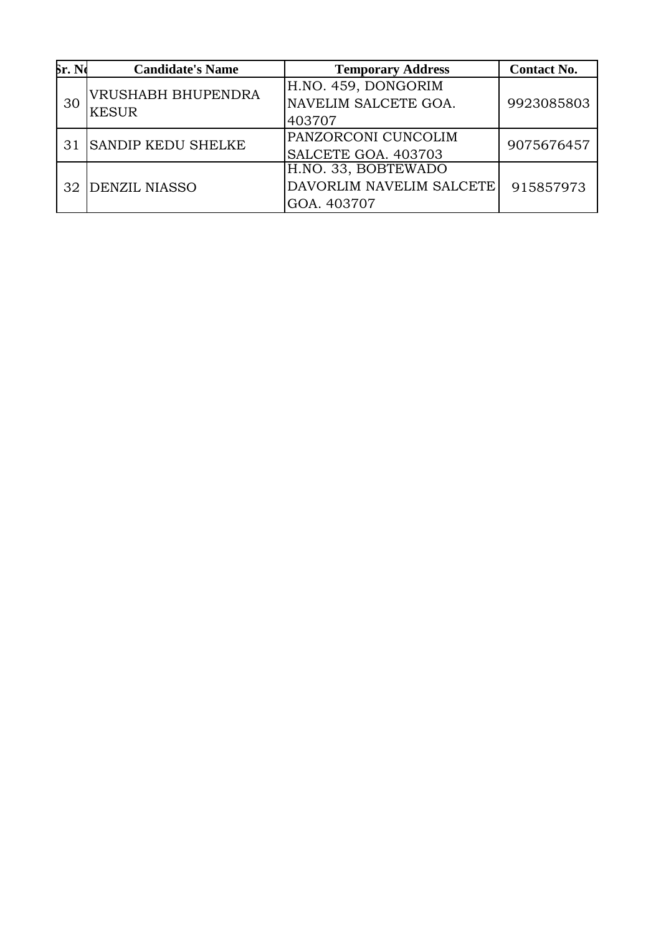| Sr. No | <b>Candidate's Name</b>            | <b>Temporary Address</b> | <b>Contact No.</b> |
|--------|------------------------------------|--------------------------|--------------------|
| 30     | VRUSHABH BHUPENDRA<br><b>KESUR</b> | H.NO. 459, DONGORIM      |                    |
|        |                                    | NAVELIM SALCETE GOA.     | 9923085803         |
|        |                                    | 403707                   |                    |
| 31     | <b>SANDIP KEDU SHELKE</b>          | PANZORCONI CUNCOLIM      | 9075676457         |
|        |                                    | SALCETE GOA. 403703      |                    |
| 32.    | <b>DENZIL NIASSO</b>               | H.NO. 33, BOBTEWADO      |                    |
|        |                                    | DAVORLIM NAVELIM SALCETE | 915857973          |
|        |                                    | GOA. 403707              |                    |